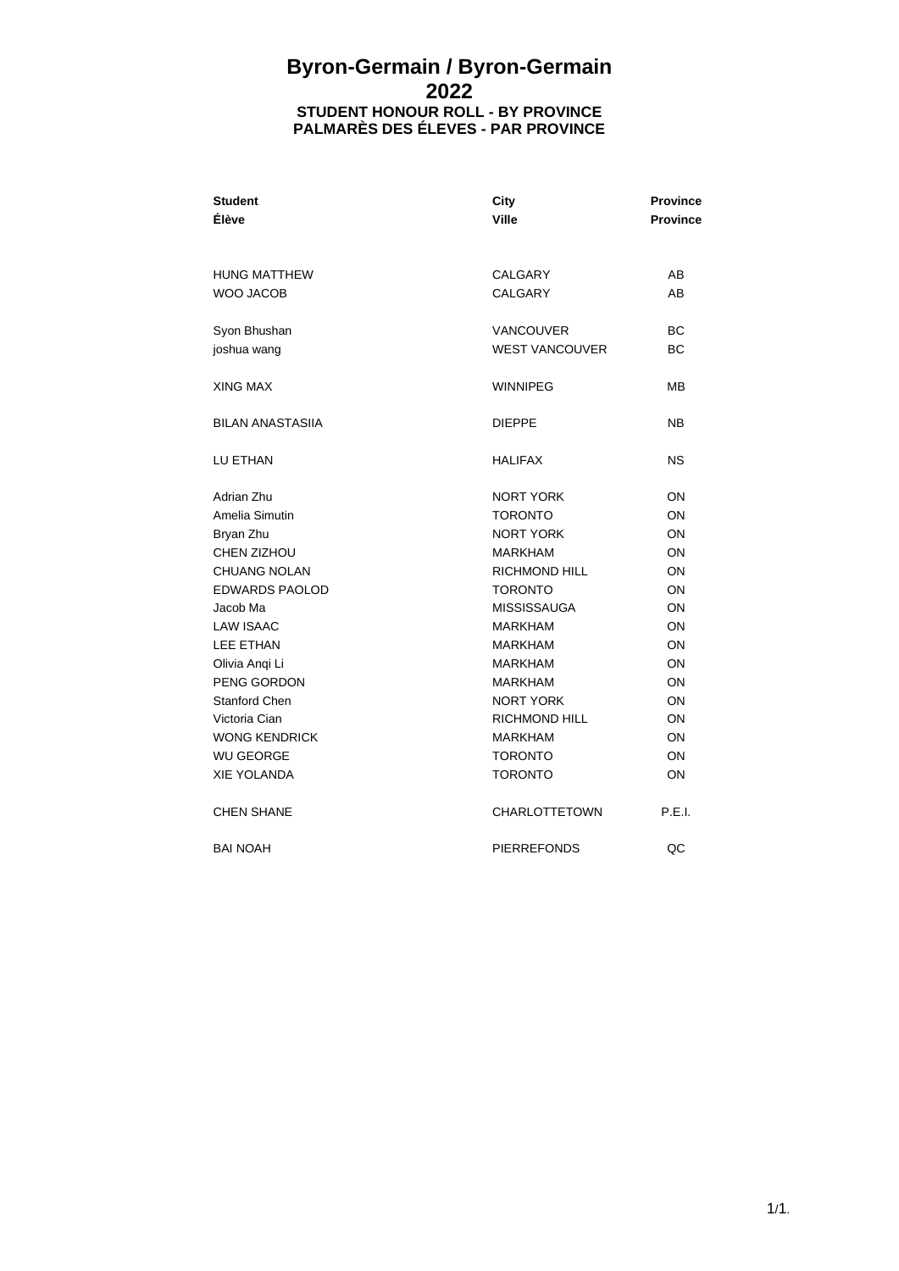## **Byron-Germain / Byron-Germain 2022 STUDENT HONOUR ROLL - BY PROVINCE PALMARÈS DES ÉLEVES - PAR PROVINCE**

| <b>Student</b><br>Élève                 | <b>City</b><br><b>Ville</b>               | <b>Province</b><br><b>Province</b> |
|-----------------------------------------|-------------------------------------------|------------------------------------|
| <b>HUNG MATTHEW</b><br><b>WOO JACOB</b> | <b>CALGARY</b><br><b>CALGARY</b>          | AB<br>AB                           |
| Syon Bhushan<br>joshua wang             | <b>VANCOUVER</b><br><b>WEST VANCOUVER</b> | ВC<br><b>BC</b>                    |
| XING MAX                                | <b>WINNIPEG</b>                           | MВ                                 |
| <b>BILAN ANASTASIIA</b>                 | <b>DIEPPE</b>                             | <b>NB</b>                          |
| LU ETHAN                                | <b>HALIFAX</b>                            | <b>NS</b>                          |
| Adrian Zhu                              | <b>NORT YORK</b>                          | ON                                 |
| Amelia Simutin                          | <b>TORONTO</b>                            | ON                                 |
| Bryan Zhu                               | <b>NORT YORK</b>                          | ON                                 |
| CHEN ZIZHOU                             | <b>MARKHAM</b>                            | ON                                 |
| <b>CHUANG NOLAN</b>                     | <b>RICHMOND HILL</b>                      | ON                                 |
| <b>EDWARDS PAOLOD</b>                   | <b>TORONTO</b>                            | ON                                 |
| Jacob Ma                                | <b>MISSISSAUGA</b>                        | ON                                 |
| <b>LAW ISAAC</b>                        | <b>MARKHAM</b>                            | ON                                 |
| <b>LEE ETHAN</b>                        | <b>MARKHAM</b>                            | ON                                 |
| Olivia Angi Li                          | <b>MARKHAM</b>                            | ON                                 |
| PENG GORDON                             | <b>MARKHAM</b>                            | ON                                 |
| <b>Stanford Chen</b>                    | <b>NORT YORK</b>                          | ON                                 |
| Victoria Cian                           | <b>RICHMOND HILL</b>                      | ON                                 |
| <b>WONG KENDRICK</b>                    | <b>MARKHAM</b>                            | ON                                 |
| <b>WU GEORGE</b>                        | <b>TORONTO</b>                            | ON                                 |
| <b>XIE YOLANDA</b>                      | <b>TORONTO</b>                            | ON                                 |
| <b>CHEN SHANE</b>                       | <b>CHARLOTTETOWN</b>                      | P.E.I.                             |
| <b>BAI NOAH</b>                         | <b>PIERREFONDS</b>                        | QC                                 |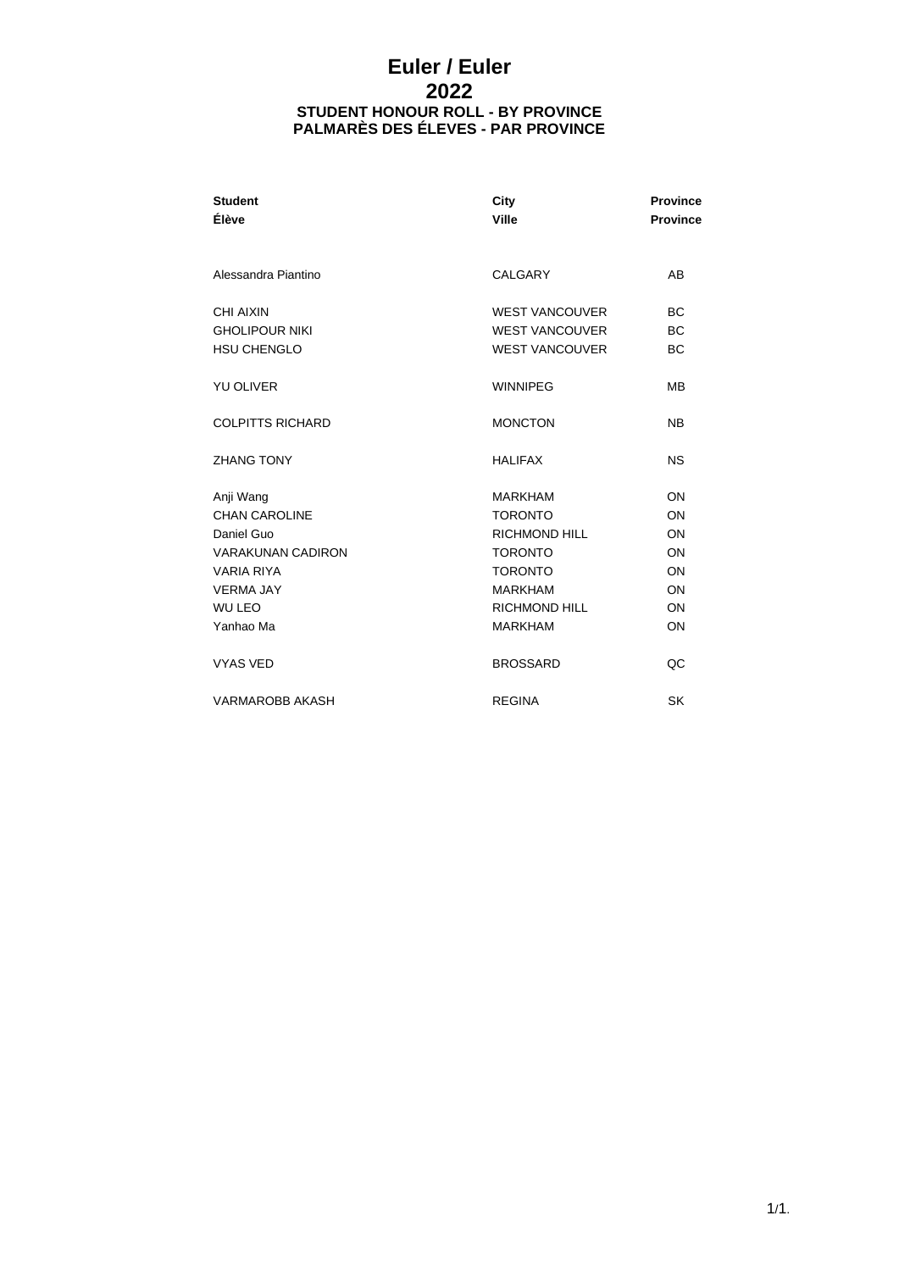# **Euler / Euler 2022 STUDENT HONOUR ROLL - BY PROVINCE PALMARÈS DES ÉLEVES - PAR PROVINCE**

| <b>Student</b><br>Élève                                  | City<br>Ville                                                           | <b>Province</b><br><b>Province</b>  |
|----------------------------------------------------------|-------------------------------------------------------------------------|-------------------------------------|
| Alessandra Piantino                                      | CALGARY                                                                 | AB                                  |
| CHI AIXIN<br><b>GHOLIPOUR NIKI</b><br><b>HSU CHENGLO</b> | <b>WEST VANCOUVER</b><br><b>WEST VANCOUVER</b><br><b>WEST VANCOUVER</b> | <b>BC</b><br><b>BC</b><br><b>BC</b> |
| <b>YU OLIVER</b>                                         | <b>WINNIPEG</b>                                                         | MВ                                  |
| <b>COLPITTS RICHARD</b>                                  | <b>MONCTON</b>                                                          | <b>NB</b>                           |
| <b>ZHANG TONY</b>                                        | <b>HALIFAX</b>                                                          | <b>NS</b>                           |
| Anji Wang                                                | <b>MARKHAM</b>                                                          | ON                                  |
| <b>CHAN CAROLINE</b>                                     | <b>TORONTO</b>                                                          | ON                                  |
| Daniel Guo                                               | <b>RICHMOND HILL</b>                                                    | ON                                  |
| <b>VARAKUNAN CADIRON</b>                                 | <b>TORONTO</b>                                                          | ON                                  |
| <b>VARIA RIYA</b>                                        | <b>TORONTO</b>                                                          | ON                                  |
| <b>VERMA JAY</b>                                         | <b>MARKHAM</b>                                                          | ON                                  |
| <b>WU LEO</b>                                            | <b>RICHMOND HILL</b>                                                    | ON                                  |
| Yanhao Ma                                                | <b>MARKHAM</b>                                                          | ON                                  |
| <b>VYAS VED</b>                                          | <b>BROSSARD</b>                                                         | QC                                  |
| <b>VARMAROBB AKASH</b>                                   | <b>REGINA</b>                                                           | SK                                  |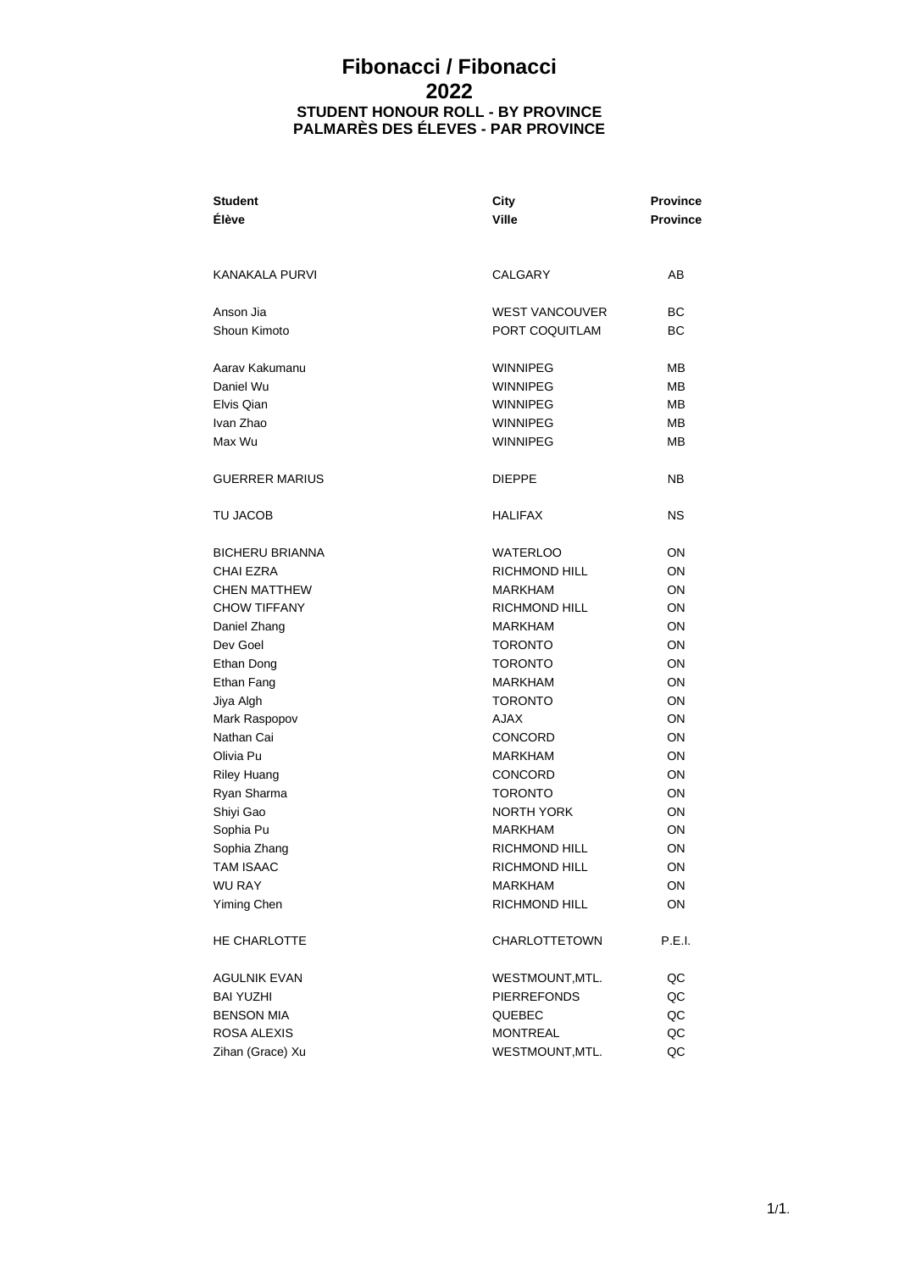# **Fibonacci / Fibonacci 2022 STUDENT HONOUR ROLL - BY PROVINCE PALMARÈS DES ÉLEVES - PAR PROVINCE**

| <b>Student</b>         | City                  | <b>Province</b> |  |
|------------------------|-----------------------|-----------------|--|
| <b>Élève</b>           | <b>Ville</b>          | <b>Province</b> |  |
|                        |                       |                 |  |
| <b>KANAKALA PURVI</b>  | CALGARY               | AВ              |  |
| Anson Jia              | <b>WEST VANCOUVER</b> | ВC              |  |
| Shoun Kimoto           | PORT COQUITLAM        | ВC              |  |
| Aarav Kakumanu         | WINNIPEG              | MВ              |  |
| Daniel Wu              | <b>WINNIPEG</b>       | MВ              |  |
| Elvis Qian             | <b>WINNIPEG</b>       | MВ              |  |
| Ivan Zhao              | <b>WINNIPEG</b>       | MВ              |  |
| Max Wu                 | <b>WINNIPEG</b>       | MВ              |  |
| <b>GUERRER MARIUS</b>  | <b>DIEPPE</b>         | NΒ              |  |
| TU JACOB               | <b>HALIFAX</b>        | ΝS              |  |
| <b>BICHERU BRIANNA</b> | <b>WATERLOO</b>       | OΝ              |  |
| <b>CHAI EZRA</b>       | RICHMOND HILL         | ON              |  |
| <b>CHEN MATTHEW</b>    | <b>MARKHAM</b>        | ON              |  |
| <b>CHOW TIFFANY</b>    | <b>RICHMOND HILL</b>  | ON              |  |
| Daniel Zhang           | <b>MARKHAM</b>        | ON              |  |
| Dev Goel               | <b>TORONTO</b>        | ON              |  |
| Ethan Dong             | <b>TORONTO</b>        | ON              |  |
| Ethan Fang             | <b>MARKHAM</b>        | ON              |  |
| Jiya Algh              | <b>TORONTO</b>        | ON              |  |
| Mark Raspopov          | <b>AJAX</b>           | ON              |  |
| Nathan Cai             | <b>CONCORD</b>        | ON              |  |
| Olivia Pu              | <b>MARKHAM</b>        | ON              |  |
| <b>Riley Huang</b>     | <b>CONCORD</b>        | ON              |  |
| Ryan Sharma            | <b>TORONTO</b>        | ON              |  |
| Shiyi Gao              | <b>NORTH YORK</b>     | 0N              |  |
| Sophia Pu              | <b>MARKHAM</b>        | OΝ              |  |
| Sophia Zhang           | RICHMOND HILL         | ON              |  |
| <b>TAM ISAAC</b>       | RICHMOND HILL         | ON              |  |
| <b>WU RAY</b>          | MARKHAM               | ON              |  |
| Yiming Chen            | <b>RICHMOND HILL</b>  | ON              |  |
| HE CHARLOTTE           | <b>CHARLOTTETOWN</b>  | P.E.I.          |  |
| <b>AGULNIK EVAN</b>    | WESTMOUNT, MTL.       | QC              |  |
| <b>BAI YUZHI</b>       | <b>PIERREFONDS</b>    | $_{\rm QC}$     |  |
| <b>BENSON MIA</b>      | QUEBEC                | QC              |  |
| ROSA ALEXIS            | MONTREAL              | QC              |  |
| Zihan (Grace) Xu       | WESTMOUNT, MTL.       | QC              |  |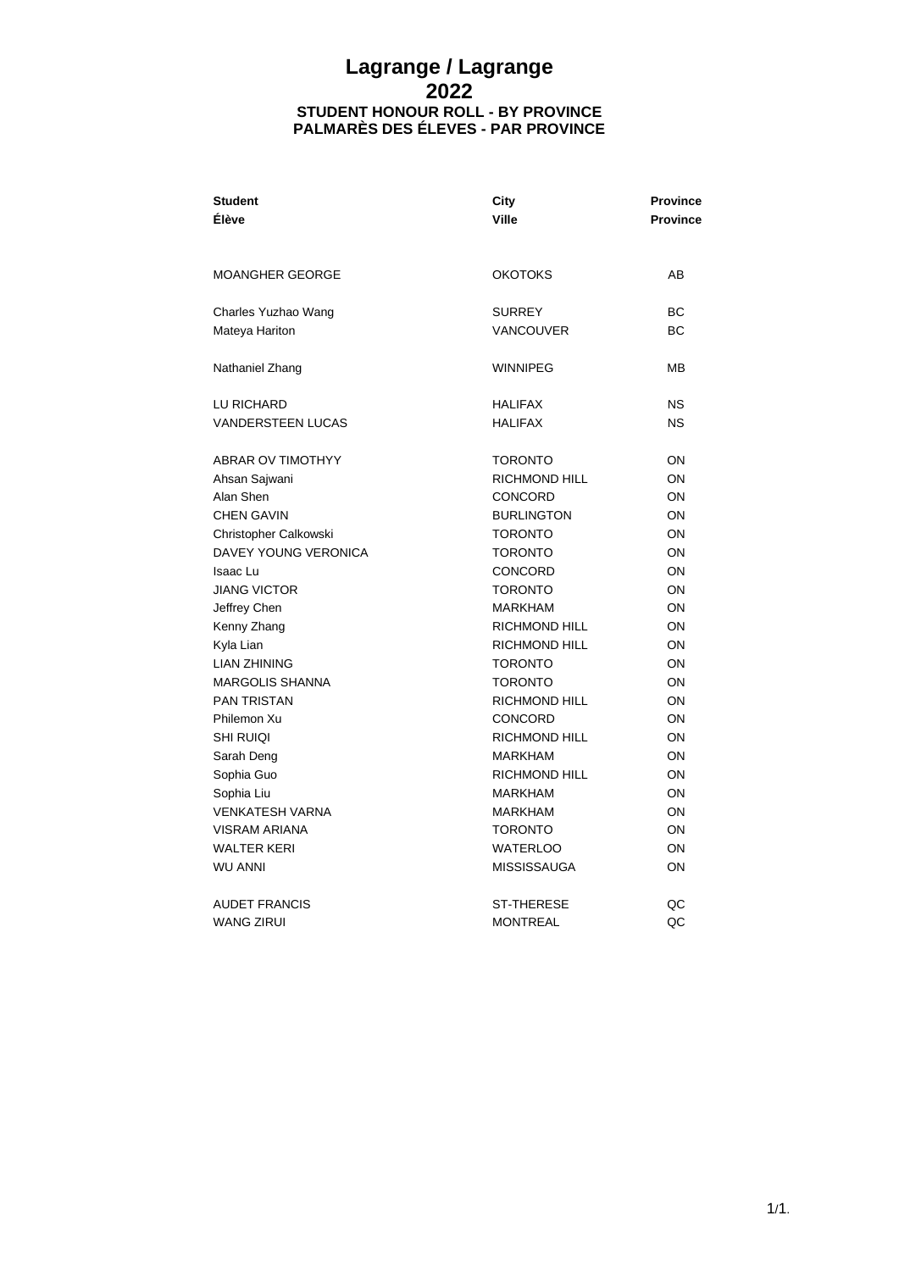#### **Lagrange / Lagrange 2022 STUDENT HONOUR ROLL - BY PROVINCE PALMARÈS DES ÉLEVES - PAR PROVINCE**

| <b>Student</b>           | City                 | <b>Province</b> |
|--------------------------|----------------------|-----------------|
| Élève                    | <b>Ville</b>         | <b>Province</b> |
|                          |                      |                 |
| <b>MOANGHER GEORGE</b>   | <b>OKOTOKS</b>       | AB              |
| Charles Yuzhao Wang      | <b>SURREY</b>        | <b>BC</b>       |
| Mateya Hariton           | <b>VANCOUVER</b>     | <b>BC</b>       |
|                          |                      |                 |
| Nathaniel Zhang          | <b>WINNIPEG</b>      | MВ              |
|                          |                      |                 |
| LU RICHARD               | <b>HALIFAX</b>       | <b>NS</b>       |
| <b>VANDERSTEEN LUCAS</b> | <b>HALIFAX</b>       | <b>NS</b>       |
| <b>ABRAR OV TIMOTHYY</b> | <b>TORONTO</b>       | ON              |
| Ahsan Sajwani            | RICHMOND HILL        | ON              |
| Alan Shen                | <b>CONCORD</b>       | ON              |
| <b>CHEN GAVIN</b>        | <b>BURLINGTON</b>    | ON              |
| Christopher Calkowski    | <b>TORONTO</b>       | ON              |
| DAVEY YOUNG VERONICA     | <b>TORONTO</b>       | ON              |
| <b>Isaac Lu</b>          | CONCORD              | ON              |
| <b>JIANG VICTOR</b>      | <b>TORONTO</b>       | ON              |
| Jeffrey Chen             | <b>MARKHAM</b>       | ON              |
| Kenny Zhang              | <b>RICHMOND HILL</b> | ON              |
| Kyla Lian                | <b>RICHMOND HILL</b> | ON              |
| <b>LIAN ZHINING</b>      | <b>TORONTO</b>       | ON              |
| <b>MARGOLIS SHANNA</b>   | <b>TORONTO</b>       | ON              |
| <b>PAN TRISTAN</b>       | <b>RICHMOND HILL</b> | ON              |
| Philemon Xu              | CONCORD              | ON              |
| <b>SHI RUIOI</b>         | <b>RICHMOND HILL</b> | ON              |
| Sarah Deng               | <b>MARKHAM</b>       | ON              |
| Sophia Guo               | <b>RICHMOND HILL</b> | ON              |
| Sophia Liu               | <b>MARKHAM</b>       | ON              |
| <b>VENKATESH VARNA</b>   | <b>MARKHAM</b>       | ON              |
| <b>VISRAM ARIANA</b>     | <b>TORONTO</b>       | ON              |
| <b>WALTER KERI</b>       | <b>WATERLOO</b>      | ON              |
| <b>WU ANNI</b>           | <b>MISSISSAUGA</b>   | ON              |
| <b>AUDET FRANCIS</b>     | <b>ST-THERESE</b>    | QC              |
| <b>WANG ZIRUI</b>        | <b>MONTREAL</b>      | QC              |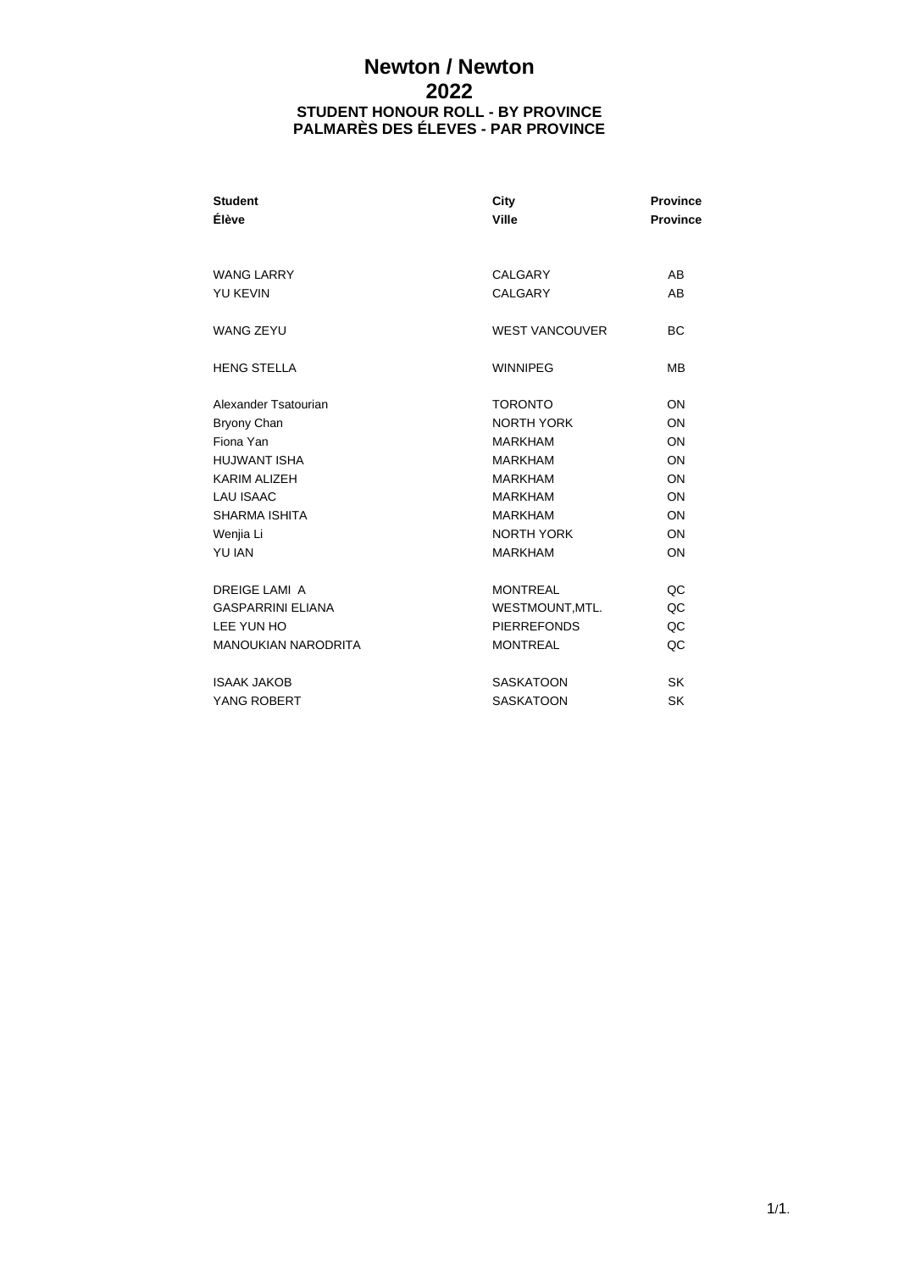# **Newton / Newton 2022 STUDENT HONOUR ROLL - BY PROVINCE PALMARÈS DES ÉLEVES - PAR PROVINCE**

| <b>Student</b><br>Élève    | City<br>Ville         | <b>Province</b><br><b>Province</b> |
|----------------------------|-----------------------|------------------------------------|
| WANG LARRY                 | CALGARY               | AB                                 |
| <b>YU KEVIN</b>            | CALGARY               | AB                                 |
| <b>WANG ZEYU</b>           | <b>WEST VANCOUVER</b> | <b>BC</b>                          |
| <b>HENG STELLA</b>         | <b>WINNIPEG</b>       | <b>MB</b>                          |
| Alexander Tsatourian       | <b>TORONTO</b>        | <b>ON</b>                          |
| Bryony Chan                | <b>NORTH YORK</b>     | <b>ON</b>                          |
| Fiona Yan                  | <b>MARKHAM</b>        | ON                                 |
| <b>HUJWANT ISHA</b>        | <b>MARKHAM</b>        | <b>ON</b>                          |
| <b>KARIM ALIZEH</b>        | <b>MARKHAM</b>        | <b>ON</b>                          |
| <b>LAU ISAAC</b>           | <b>MARKHAM</b>        | ON                                 |
| <b>SHARMA ISHITA</b>       | <b>MARKHAM</b>        | <b>ON</b>                          |
| Wenjia Li                  | <b>NORTH YORK</b>     | ON                                 |
| <b>YU IAN</b>              | <b>MARKHAM</b>        | <b>ON</b>                          |
| <b>DREIGE LAMI A</b>       | <b>MONTREAL</b>       | QC                                 |
| <b>GASPARRINI ELIANA</b>   | WESTMOUNT, MTL.       | QC                                 |
| LEE YUN HO                 | <b>PIERREFONDS</b>    | QC                                 |
| <b>MANOUKIAN NARODRITA</b> | <b>MONTREAL</b>       | QC                                 |
| <b>ISAAK JAKOB</b>         | <b>SASKATOON</b>      | <b>SK</b>                          |
| YANG ROBERT                | <b>SASKATOON</b>      | SK                                 |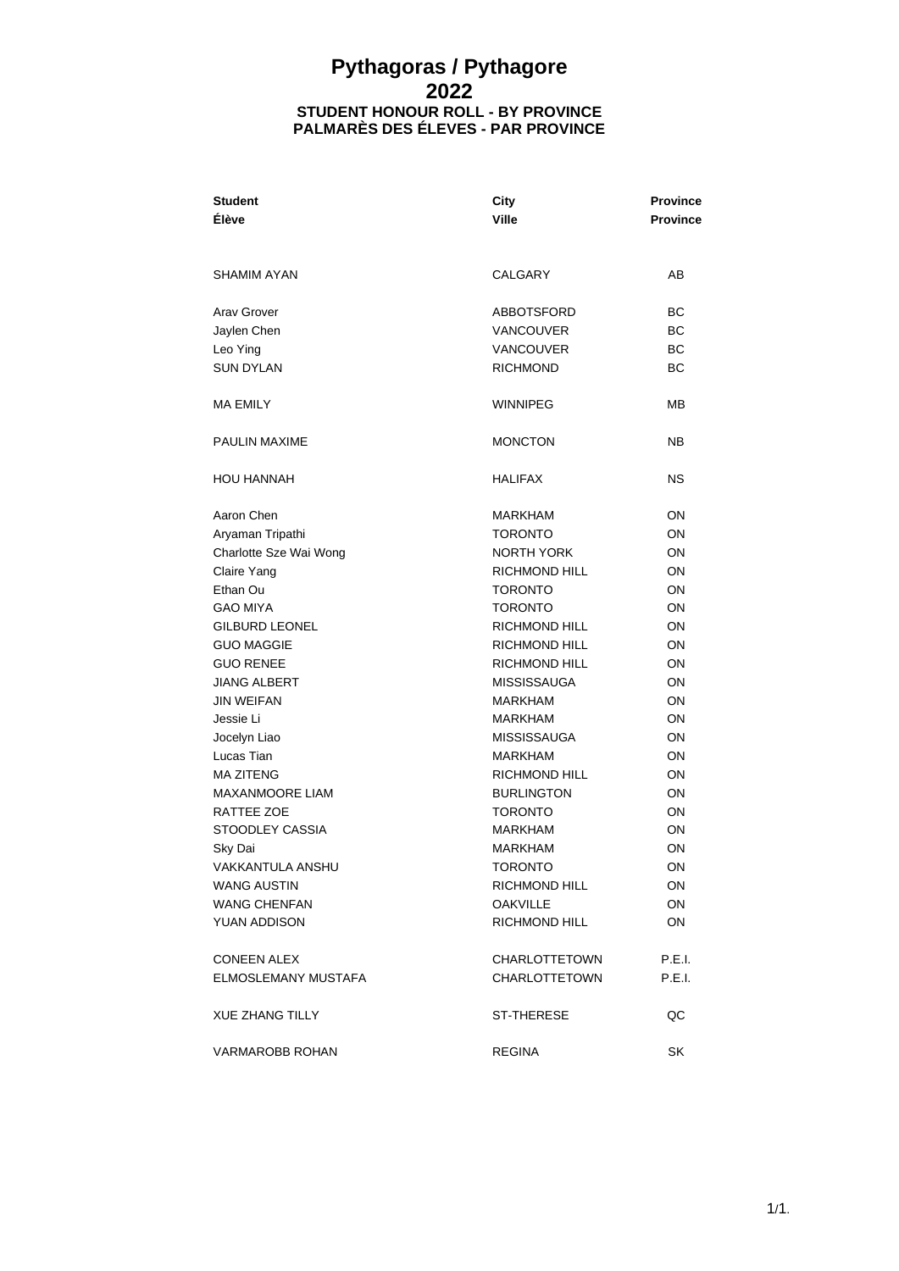## **Pythagoras / Pythagore 2022 STUDENT HONOUR ROLL - BY PROVINCE PALMARÈS DES ÉLEVES - PAR PROVINCE**

| <b>Student</b><br><b>Élève</b> | City<br><b>Ville</b> | <b>Province</b><br>Province |
|--------------------------------|----------------------|-----------------------------|
|                                |                      |                             |
| <b>SHAMIM AYAN</b>             | CALGARY              | AB                          |
| Arav Grover                    | ABBOTSFORD           | ВC                          |
| Jaylen Chen                    | <b>VANCOUVER</b>     | ВC                          |
| Leo Ying                       | <b>VANCOUVER</b>     | ВC                          |
| <b>SUN DYLAN</b>               | <b>RICHMOND</b>      | ВC                          |
| <b>MA EMILY</b>                | <b>WINNIPEG</b>      | <b>MB</b>                   |
| <b>PAULIN MAXIME</b>           | <b>MONCTON</b>       | NΒ                          |
| <b>HOU HANNAH</b>              | <b>HALIFAX</b>       | ΝS                          |
| Aaron Chen                     | <b>MARKHAM</b>       | ON                          |
| Aryaman Tripathi               | <b>TORONTO</b>       | ON                          |
| Charlotte Sze Wai Wong         | <b>NORTH YORK</b>    | ON                          |
| Claire Yang                    | <b>RICHMOND HILL</b> | ON                          |
| Ethan Ou                       | <b>TORONTO</b>       | ON                          |
| <b>GAO MIYA</b>                | <b>TORONTO</b>       | ON                          |
| <b>GILBURD LEONEL</b>          | <b>RICHMOND HILL</b> | ON                          |
| <b>GUO MAGGIE</b>              | <b>RICHMOND HILL</b> | ON                          |
| <b>GUO RENEE</b>               | <b>RICHMOND HILL</b> | ON                          |
| <b>JIANG ALBERT</b>            | <b>MISSISSAUGA</b>   | ON                          |
| <b>JIN WEIFAN</b>              | MARKHAM              | ON                          |
| Jessie Li                      | <b>MARKHAM</b>       | ON                          |
| Jocelyn Liao                   | <b>MISSISSAUGA</b>   | ON                          |
| Lucas Tian                     | <b>MARKHAM</b>       | ON                          |
| <b>MA ZITENG</b>               | RICHMOND HILL        | ON                          |
| MAXANMOORE LIAM                | <b>BURLINGTON</b>    | ON                          |
| RATTEE ZOE                     | <b>TORONTO</b>       | ON                          |
| STOODLEY CASSIA                | <b>MARKHAM</b>       | ON                          |
| Sky Dai                        | <b>MARKHAM</b>       | OΝ                          |
| VAKKANTULA ANSHU               | <b>TORONTO</b>       | ON                          |
| <b>WANG AUSTIN</b>             | RICHMOND HILL        | ON.                         |
| <b>WANG CHENFAN</b>            | <b>OAKVILLE</b>      | ON                          |
| YUAN ADDISON                   | RICHMOND HILL        | ON                          |
| <b>CONEEN ALEX</b>             | CHARLOTTETOWN        | P.E.I.                      |
| <b>ELMOSLEMANY MUSTAFA</b>     | CHARLOTTETOWN        | P.E.I.                      |
| <b>XUE ZHANG TILLY</b>         | ST-THERESE           | QC                          |
| <b>VARMAROBB ROHAN</b>         | <b>REGINA</b>        | SK                          |